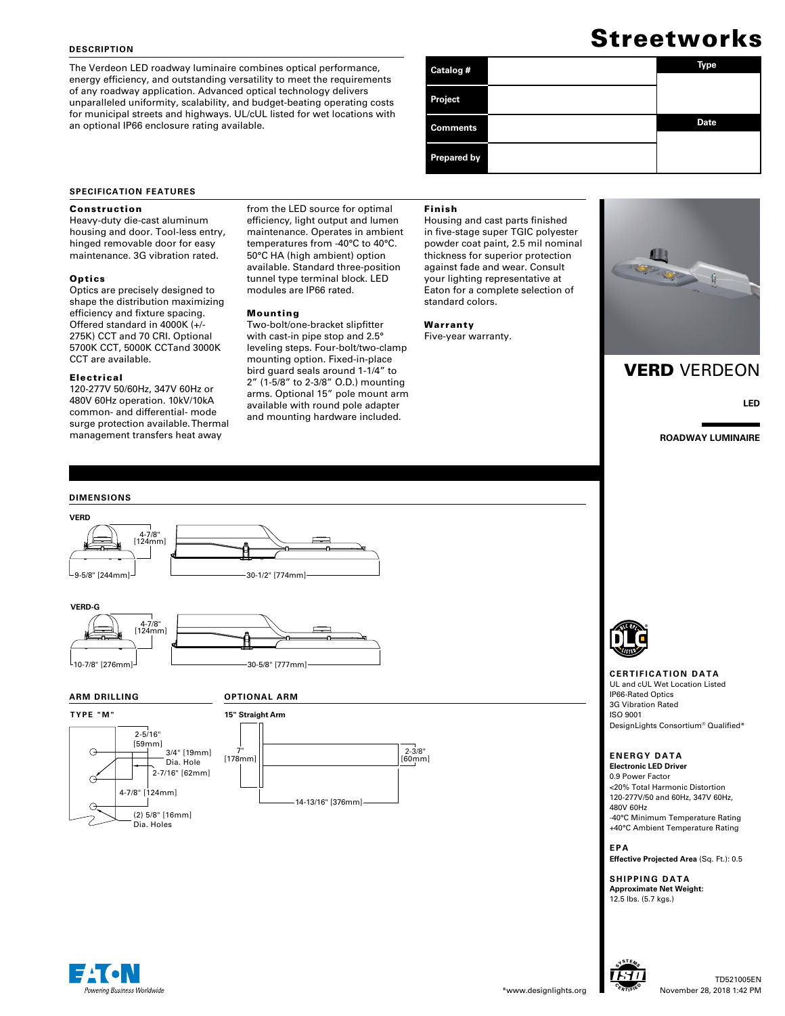## **DESCRIPTION**

The Verdeon LED roadway luminaire combines optical performance, energy efficiency, and outstanding versatility to meet the requirements of any roadway application. Advanced optical technology delivers unparalleled uniformity, scalability, and budget-beating operating costs for municipal streets and highways. UL/cUL listed for wet locations with an optional IP66 enclosure rating available.

# Streetworks

| Catalog #          | Type        |
|--------------------|-------------|
| Project            |             |
| <b>Comments</b>    | <b>Date</b> |
| <b>Prepared by</b> |             |

## **SPECIFICATION FEATURES**

## Construction

Heavy-duty die-cast aluminum housing and door. Tool-less entry, hinged removable door for easy maintenance. 3G vibration rated.

## **Optics**

Optics are precisely designed to shape the distribution maximizing efficiency and fixture spacing. Offered standard in 4000K (+/- 275K) CCT and 70 CRI. Optional 5700K CCT, 5000K CCTand 3000K CCT are available.

## Electrical

120-277V 50/60Hz, 347V 60Hz or 480V 60Hz operation. 10kV/10kA common- and differential- mode surge protection available. Thermal management transfers heat away

from the LED source for optimal efficiency, light output and lumen maintenance. Operates in ambient temperatures from -40°C to 40°C. 50°C HA (high ambient) option available. Standard three-position tunnel type terminal block. LED modules are IP66 rated.

## Mounting

Two-bolt/one-bracket slipfitter with cast-in pipe stop and 2.5° leveling steps. Four-bolt/two-clamp mounting option. Fixed-in-place bird guard seals around 1-1/4" to 2" (1-5/8" to 2-3/8" O.D.) mounting arms. Optional 15" pole mount arm available with round pole adapter and mounting hardware included.

## Finish

Housing and cast parts finished in five-stage super TGIC polyester powder coat paint, 2.5 mil nominal thickness for superior protection against fade and wear. Consult your lighting representative at Eaton for a complete selection of standard colors.

Warranty Five-year warranty.



## VERD VERDEON

**LED**

**ROADWAY LUMINAIRE**



**TYPE "M"**











## **CERTIFICATION DATA**

UL and cUL Wet Location Listed IP66-Rated Optics 3G Vibration Rated ISO 9001 DesignLights Consortium® Qualified\*

## **ENERGY DATA**

**Electronic LED Driver** 0.9 Power Factor <20% Total Harmonic Distortion 120-277V/50 and 60Hz, 347V 60Hz, 480V 60Hz -40°C Minimum Temperature Rating +40°C Ambient Temperature Rating

**EPA Effective Projected Area** (Sq. Ft.): 0.5

**SHIPPING DATA Approximate Net Weight:**  12.5 lbs. (5.7 kgs.)

SYSTEM<sub>S</sub> CERTIFIED

69 I

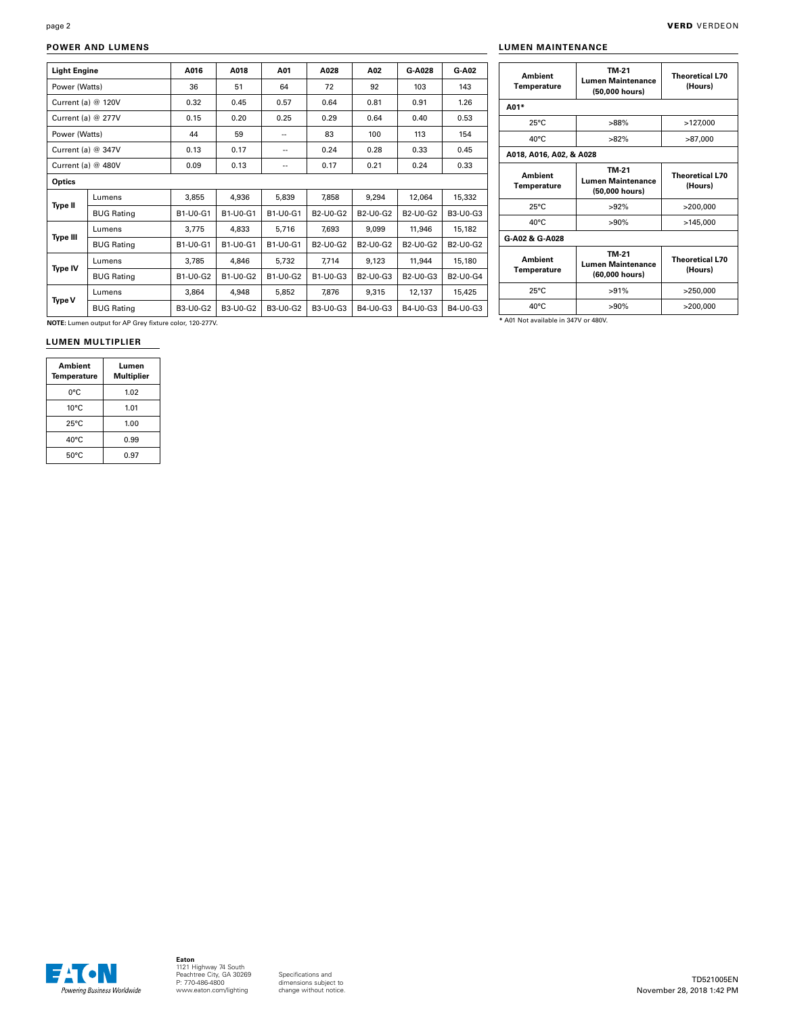page 2

## **POWER AND LUMENS**

| <b>Light Engine</b>  |                      | A016     | A018            | A01                      | A028                                           | A02                                            | G-A028                                         | G-A02                                          |
|----------------------|----------------------|----------|-----------------|--------------------------|------------------------------------------------|------------------------------------------------|------------------------------------------------|------------------------------------------------|
| Power (Watts)        |                      | 36       | 51              | 64                       | 72                                             | 92                                             | 103                                            | 143                                            |
| Current (a) @ 120V   |                      | 0.32     | 0.45            | 0.57                     | 0.64                                           | 0.81                                           | 0.91                                           | 1.26                                           |
| Current (a) $@$ 277V |                      | 0.15     | 0.20            | 0.25                     | 0.29                                           | 0.64                                           | 0.40                                           | 0.53                                           |
| Power (Watts)        |                      | 44       | 59              | $\overline{\phantom{a}}$ | 83                                             | 100                                            | 113                                            | 154                                            |
| Current (a) @ 347V   |                      | 0.13     | 0.17            | --                       | 0.24                                           | 0.28                                           | 0.33                                           | 0.45                                           |
|                      | Current (a) $@$ 480V |          | 0.13            | --                       | 0.17                                           | 0.21                                           | 0.24                                           | 0.33                                           |
| Optics               |                      |          |                 |                          |                                                |                                                |                                                |                                                |
|                      | Lumens               | 3,855    | 4,936           | 5,839                    | 7,858                                          | 9,294                                          | 12.064                                         | 15,332                                         |
| Type II              | <b>BUG Rating</b>    | B1-U0-G1 | B1-U0-G1        | B1-U0-G1                 | B <sub>2</sub> -U <sub>0</sub> -G <sub>2</sub> | B <sub>2</sub> -U <sub>0</sub> -G <sub>2</sub> | B <sub>2</sub> -U <sub>0</sub> -G <sub>2</sub> | B3-U0-G3                                       |
| <b>Type III</b>      | Lumens               | 3,775    | 4.833           | 5,716                    | 7,693                                          | 9.099                                          | 11,946                                         | 15,182                                         |
|                      | <b>BUG Rating</b>    | B1-U0-G1 | B1-U0-G1        | B1-U0-G1                 | B2-U0-G2                                       | B2-U0-G2                                       | B2-U0-G2                                       | B <sub>2</sub> -U <sub>0</sub> -G <sub>2</sub> |
| Type IV              | Lumens               | 3.785    | 4,846           | 5,732                    | 7,714                                          | 9,123                                          | 11,944                                         | 15,180                                         |
|                      | <b>BUG Rating</b>    | B1-U0-G2 | B1-U0-G2        | <b>B1-U0-G2</b>          | B1-U0-G3                                       | B <sub>2</sub> -U <sub>0</sub> -G <sub>3</sub> | B <sub>2</sub> -U <sub>0</sub> -G <sub>3</sub> | B2-U0-G4                                       |
|                      | Lumens               | 3.864    | 4.948           | 5,852                    | 7,876                                          | 9,315                                          | 12.137                                         | 15.425                                         |
| <b>Type V</b>        | <b>BUG Rating</b>    | B3-U0-G2 | <b>B3-U0-G2</b> | B3-U0-G2                 | B3-U0-G3                                       | B4-U0-G3                                       | B4-U0-G3                                       | B4-U0-G3                                       |

| <b>Ambient</b><br>Temperature        | TM-21<br><b>Lumen Maintenance</b><br>(50,000 hours) | <b>Theoretical L70</b><br>(Hours) |  |
|--------------------------------------|-----------------------------------------------------|-----------------------------------|--|
| A01*                                 |                                                     |                                   |  |
| $25^{\circ}$ C                       | $>88\%$                                             | >127,000                          |  |
| $40^{\circ}$ C                       | $>82\%$                                             | >87,000                           |  |
| A018, A016, A02, & A028              |                                                     |                                   |  |
| <b>Ambient</b><br><b>Temperature</b> | <b>TM-21</b><br>Lumen Maintenance<br>(50,000 hours) | <b>Theoretical L70</b><br>(Hours) |  |
| $25^{\circ}$ C                       | $>92\%$                                             | >200.000                          |  |
| $40^{\circ}$ C                       | $>90\%$                                             | >145.000                          |  |
| G-A02 & G-A028                       |                                                     |                                   |  |
| <b>Ambient</b><br><b>Temperature</b> | TM-21<br><b>Lumen Maintenance</b><br>(60,000 hours) | <b>Theoretical L70</b><br>(Hours) |  |
| $25^{\circ}$ C                       | $>91\%$                                             | >250,000                          |  |
|                                      | $>90\%$                                             | >200,000                          |  |

**NOTE:** Lumen output for AP Grey fixture color, 120-277V.

## **LUMEN MULTIPLIER**

| Ambient<br><b>Temperature</b> | Lumen<br>Multiplier |  |  |
|-------------------------------|---------------------|--|--|
| 0°C                           | 1.02                |  |  |
| $10^{\circ}$ C                | 1.01                |  |  |
| $25^{\circ}$ C                | 1.00                |  |  |
| 40°C                          | 0.99                |  |  |
| $50^{\circ}$ C                | 0.97                |  |  |

**\*** A01 Not available in 347V or 480V.